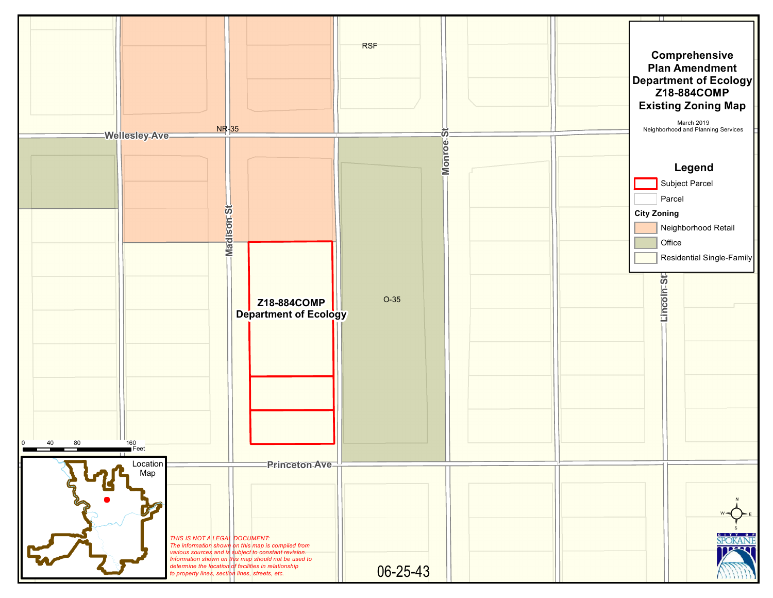